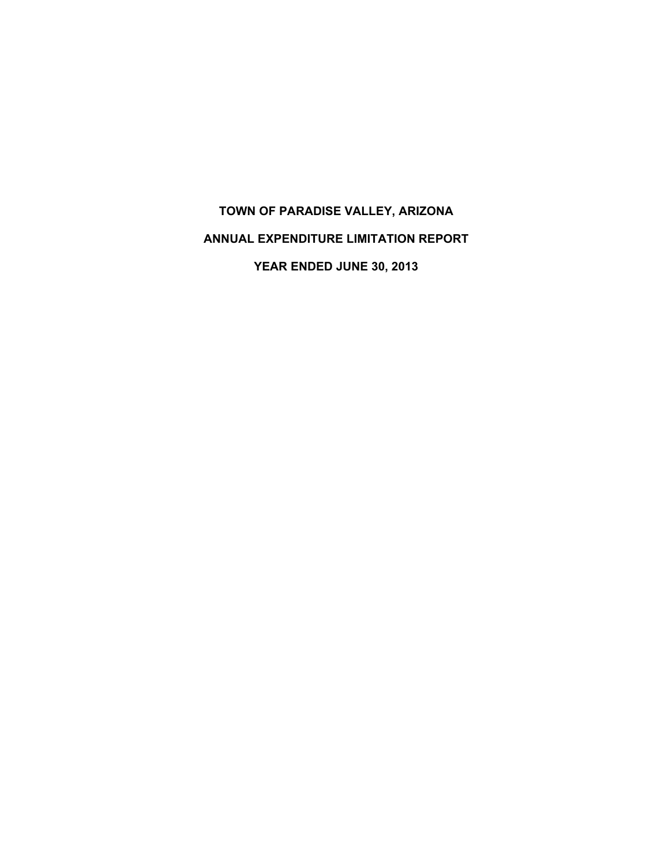# **TOWN OF PARADISE VALLEY, ARIZONA ANNUAL EXPENDITURE LIMITATION REPORT YEAR ENDED JUNE 30, 2013**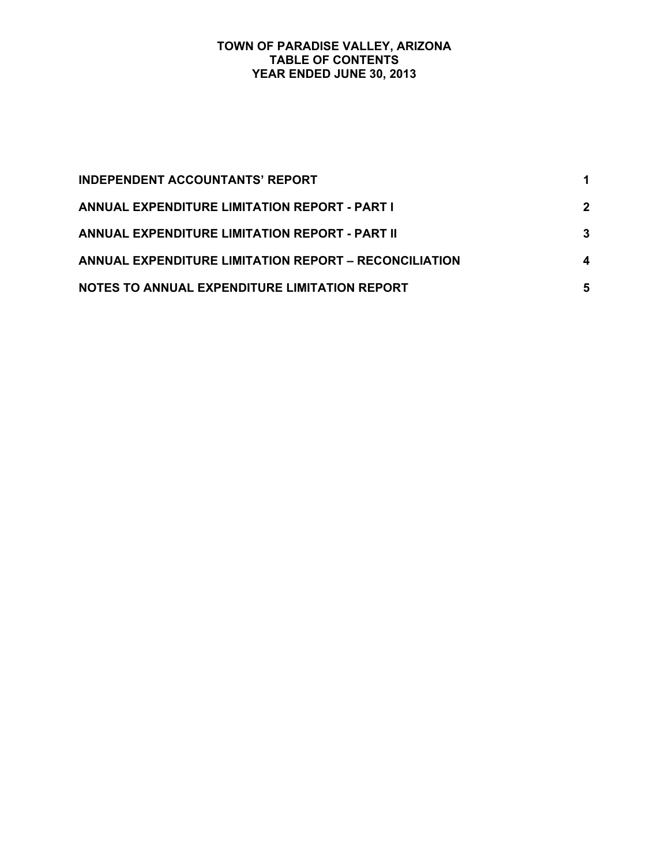## **TOWN OF PARADISE VALLEY, ARIZONA TABLE OF CONTENTS YEAR ENDED JUNE 30, 2013**

| <b>INDEPENDENT ACCOUNTANTS' REPORT</b>                       |              |
|--------------------------------------------------------------|--------------|
| <b>ANNUAL EXPENDITURE LIMITATION REPORT - PART I</b>         | $\mathbf{2}$ |
| <b>ANNUAL EXPENDITURE LIMITATION REPORT - PART II</b>        | 3            |
| <b>ANNUAL EXPENDITURE LIMITATION REPORT – RECONCILIATION</b> | 4            |
| NOTES TO ANNUAL EXPENDITURE LIMITATION REPORT                | 5            |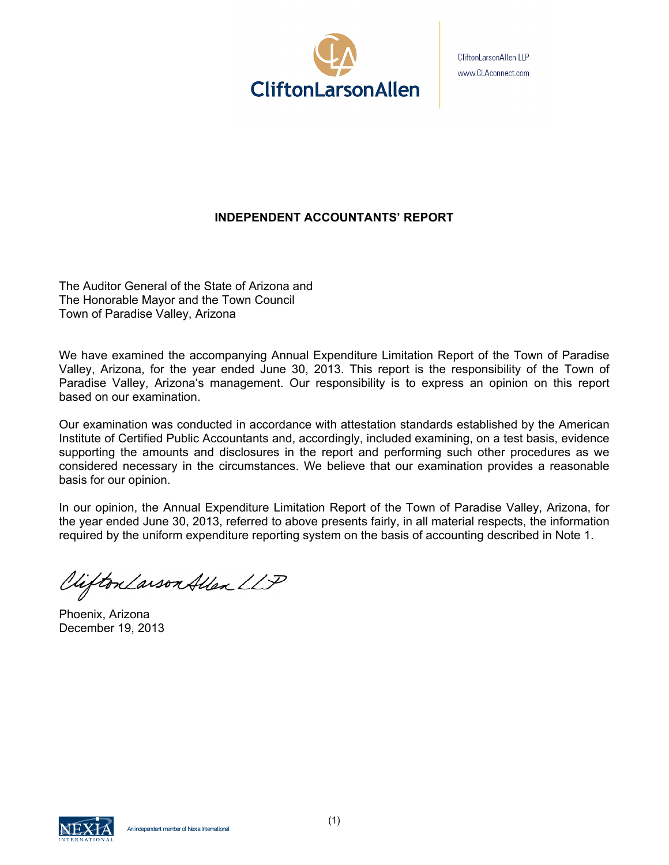

CliftonLarsonAllen LLP www.CLAconnect.com

# **INDEPENDENT ACCOUNTANTS' REPORT**

The Auditor General of the State of Arizona and The Honorable Mayor and the Town Council Town of Paradise Valley, Arizona

We have examined the accompanying Annual Expenditure Limitation Report of the Town of Paradise Valley, Arizona, for the year ended June 30, 2013. This report is the responsibility of the Town of Paradise Valley, Arizona's management. Our responsibility is to express an opinion on this report based on our examination.

Our examination was conducted in accordance with attestation standards established by the American Institute of Certified Public Accountants and, accordingly, included examining, on a test basis, evidence supporting the amounts and disclosures in the report and performing such other procedures as we considered necessary in the circumstances. We believe that our examination provides a reasonable basis for our opinion.

In our opinion, the Annual Expenditure Limitation Report of the Town of Paradise Valley, Arizona, for the year ended June 30, 2013, referred to above presents fairly, in all material respects, the information required by the uniform expenditure reporting system on the basis of accounting described in Note 1.

Viifton Larson Allen LLP

Phoenix, Arizona December 19, 2013

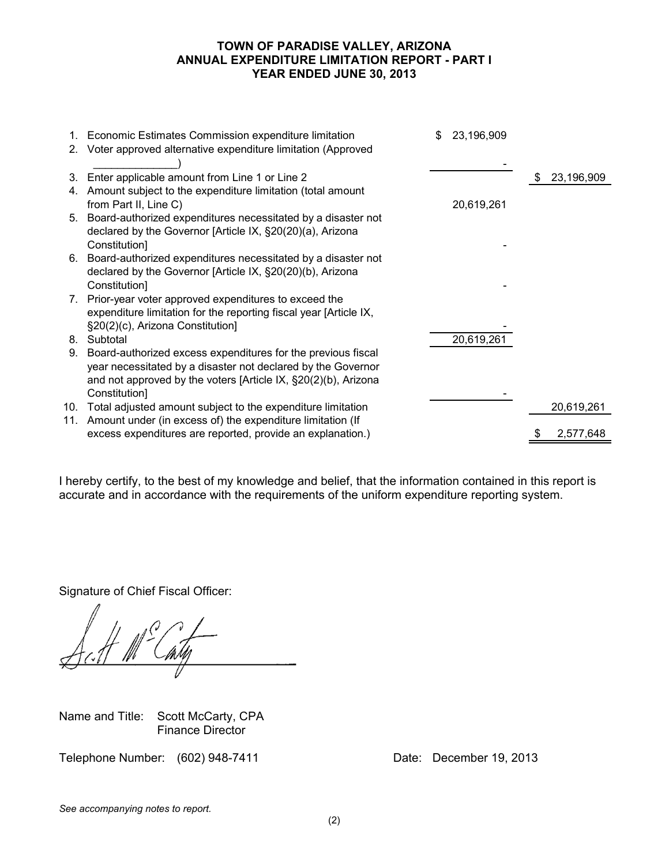## **TOWN OF PARADISE VALLEY, ARIZONA ANNUAL EXPENDITURE LIMITATION REPORT - PART I YEAR ENDED JUNE 30, 2013**

|    | 1. Economic Estimates Commission expenditure limitation<br>2. Voter approved alternative expenditure limitation (Approved | \$<br>23,196,909 |                  |
|----|---------------------------------------------------------------------------------------------------------------------------|------------------|------------------|
|    |                                                                                                                           |                  |                  |
| 3. | Enter applicable amount from Line 1 or Line 2                                                                             |                  | \$<br>23,196,909 |
|    | 4. Amount subject to the expenditure limitation (total amount                                                             |                  |                  |
|    | from Part II, Line C)                                                                                                     | 20,619,261       |                  |
|    | 5. Board-authorized expenditures necessitated by a disaster not                                                           |                  |                  |
|    | declared by the Governor [Article IX, §20(20)(a), Arizona                                                                 |                  |                  |
|    | Constitution]                                                                                                             |                  |                  |
|    | 6. Board-authorized expenditures necessitated by a disaster not                                                           |                  |                  |
|    | declared by the Governor [Article IX, §20(20)(b), Arizona                                                                 |                  |                  |
|    | Constitution]                                                                                                             |                  |                  |
|    | 7. Prior-year voter approved expenditures to exceed the                                                                   |                  |                  |
|    | expenditure limitation for the reporting fiscal year [Article IX,                                                         |                  |                  |
|    | §20(2)(c), Arizona Constitution]                                                                                          |                  |                  |
|    | 8. Subtotal                                                                                                               | 20,619,261       |                  |
| 9. | Board-authorized excess expenditures for the previous fiscal                                                              |                  |                  |
|    | year necessitated by a disaster not declared by the Governor                                                              |                  |                  |
|    | and not approved by the voters [Article IX, §20(2)(b), Arizona                                                            |                  |                  |
|    | Constitution]                                                                                                             |                  |                  |
|    | 10. Total adjusted amount subject to the expenditure limitation                                                           |                  | 20,619,261       |
|    | 11. Amount under (in excess of) the expenditure limitation (If                                                            |                  |                  |
|    | excess expenditures are reported, provide an explanation.)                                                                |                  | 2,577,648        |
|    |                                                                                                                           |                  |                  |

I hereby certify, to the best of my knowledge and belief, that the information contained in this report is accurate and in accordance with the requirements of the uniform expenditure reporting system.

Signature of Chief Fiscal Officer:

Name and Title: Scott McCarty, CPA Finance Director

Telephone Number: (602) 948-7411 Date: December 19, 2013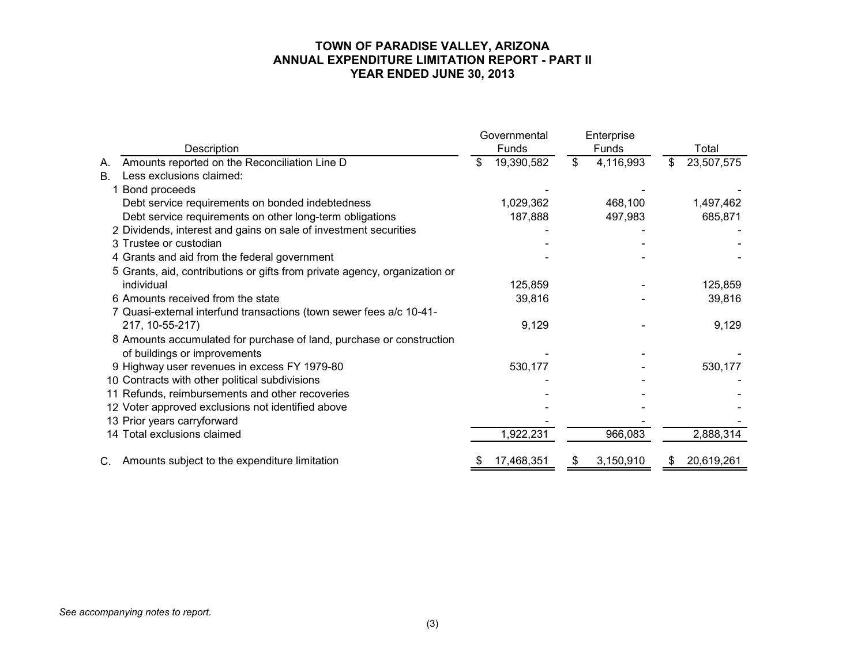# **TOWN OF PARADISE VALLEY, ARIZONA ANNUAL EXPENDITURE LIMITATION REPORT - PART II YEAR ENDED JUNE 30, 2013**

|           |                                                                            | Governmental |            | Enterprise |           |     |            |  |
|-----------|----------------------------------------------------------------------------|--------------|------------|------------|-----------|-----|------------|--|
|           | Description                                                                | Funds        |            |            | Funds     |     | Total      |  |
| А.        | Amounts reported on the Reconciliation Line D                              | \$           | 19,390,582 | \$         | 4,116,993 | \$. | 23,507,575 |  |
| <b>B.</b> | Less exclusions claimed:                                                   |              |            |            |           |     |            |  |
|           | 1 Bond proceeds                                                            |              |            |            |           |     |            |  |
|           | Debt service requirements on bonded indebtedness                           |              | 1,029,362  |            | 468,100   |     | 1,497,462  |  |
|           | Debt service requirements on other long-term obligations                   |              | 187,888    |            | 497,983   |     | 685,871    |  |
|           | 2 Dividends, interest and gains on sale of investment securities           |              |            |            |           |     |            |  |
|           | 3 Trustee or custodian                                                     |              |            |            |           |     |            |  |
|           | 4 Grants and aid from the federal government                               |              |            |            |           |     |            |  |
|           | 5 Grants, aid, contributions or gifts from private agency, organization or |              |            |            |           |     |            |  |
|           | individual                                                                 |              | 125,859    |            |           |     | 125,859    |  |
|           | 6 Amounts received from the state                                          |              | 39,816     |            |           |     | 39,816     |  |
|           | 7 Quasi-external interfund transactions (town sewer fees a/c 10-41-        |              |            |            |           |     |            |  |
|           | 217, 10-55-217)                                                            |              | 9,129      |            |           |     | 9,129      |  |
|           | 8 Amounts accumulated for purchase of land, purchase or construction       |              |            |            |           |     |            |  |
|           | of buildings or improvements                                               |              |            |            |           |     |            |  |
|           | 9 Highway user revenues in excess FY 1979-80                               |              | 530,177    |            |           |     | 530,177    |  |
|           | 10 Contracts with other political subdivisions                             |              |            |            |           |     |            |  |
|           | 11 Refunds, reimbursements and other recoveries                            |              |            |            |           |     |            |  |
|           | 12 Voter approved exclusions not identified above                          |              |            |            |           |     |            |  |
|           | 13 Prior years carryforward                                                |              |            |            |           |     |            |  |
|           | 14 Total exclusions claimed                                                |              | 1,922,231  |            | 966,083   |     | 2,888,314  |  |
|           | Amounts subject to the expenditure limitation                              |              | 17,468,351 |            | 3,150,910 |     | 20,619,261 |  |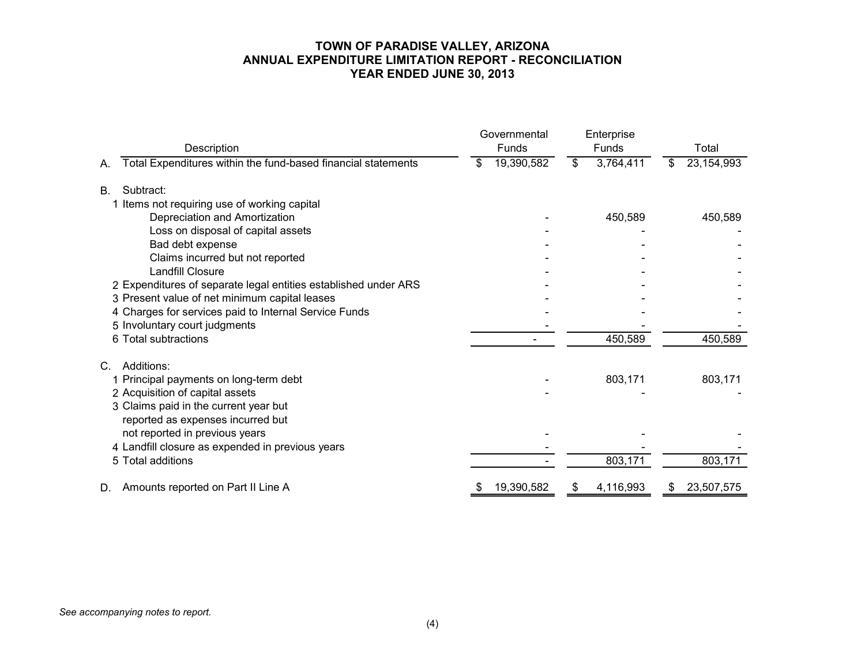## **TOWN OF PARADISE VALLEY, ARIZONA ANNUAL EXPENDITURE LIMITATION REPORT - RECONCILIATION YEAR ENDED JUNE 30, 2013**

| Description                                                         | Governmental<br>Funds | Enterprise<br>Funds | Total            |  |
|---------------------------------------------------------------------|-----------------------|---------------------|------------------|--|
| Total Expenditures within the fund-based financial statements<br>А. | 19,390,582<br>\$      | \$<br>3,764,411     | 23,154,993<br>\$ |  |
| Subtract:<br>В.                                                     |                       |                     |                  |  |
| 1 Items not requiring use of working capital                        |                       |                     |                  |  |
| Depreciation and Amortization                                       |                       | 450,589             | 450,589          |  |
| Loss on disposal of capital assets                                  |                       |                     |                  |  |
| Bad debt expense                                                    |                       |                     |                  |  |
| Claims incurred but not reported                                    |                       |                     |                  |  |
| <b>Landfill Closure</b>                                             |                       |                     |                  |  |
| 2 Expenditures of separate legal entities established under ARS     |                       |                     |                  |  |
| 3 Present value of net minimum capital leases                       |                       |                     |                  |  |
| 4 Charges for services paid to Internal Service Funds               |                       |                     |                  |  |
| 5 Involuntary court judgments                                       |                       |                     |                  |  |
| 6 Total subtractions                                                |                       | 450,589             | 450,589          |  |
| Additions:<br>C.                                                    |                       |                     |                  |  |
| 1 Principal payments on long-term debt                              |                       | 803,171             | 803,171          |  |
| 2 Acquisition of capital assets                                     |                       |                     |                  |  |
| 3 Claims paid in the current year but                               |                       |                     |                  |  |
| reported as expenses incurred but                                   |                       |                     |                  |  |
| not reported in previous years                                      |                       |                     |                  |  |
| 4 Landfill closure as expended in previous years                    |                       |                     |                  |  |
| 5 Total additions                                                   |                       | 803,171             | 803,171          |  |
| Amounts reported on Part II Line A<br>D.                            | 19,390,582<br>S       | 4,116,993<br>\$     | 23,507,575<br>\$ |  |

*See accompanying notes to report.*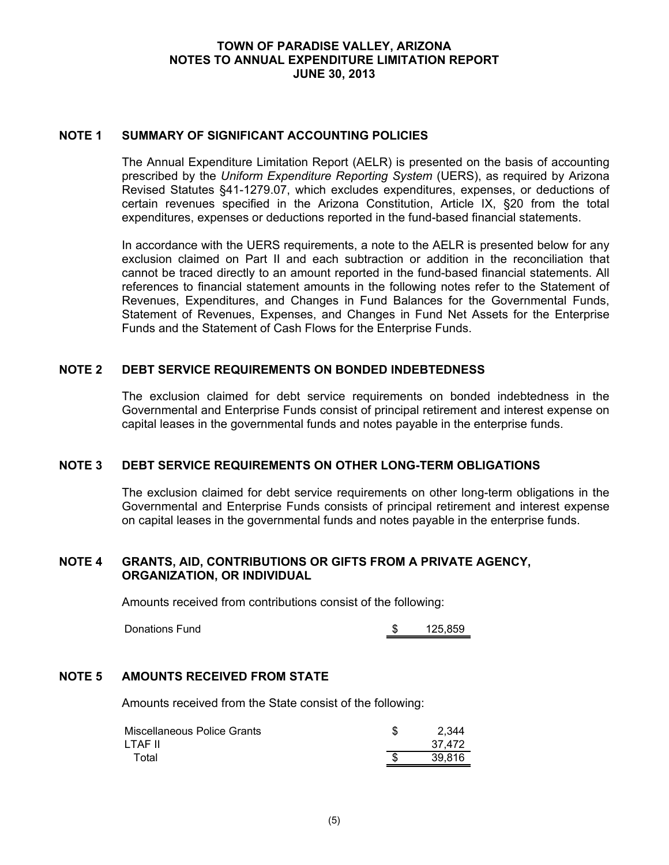## **TOWN OF PARADISE VALLEY, ARIZONA NOTES TO ANNUAL EXPENDITURE LIMITATION REPORT JUNE 30, 2013**

## **NOTE 1 SUMMARY OF SIGNIFICANT ACCOUNTING POLICIES**

The Annual Expenditure Limitation Report (AELR) is presented on the basis of accounting prescribed by the *Uniform Expenditure Reporting System* (UERS), as required by Arizona Revised Statutes §41-1279.07, which excludes expenditures, expenses, or deductions of certain revenues specified in the Arizona Constitution, Article IX, §20 from the total expenditures, expenses or deductions reported in the fund-based financial statements.

In accordance with the UERS requirements, a note to the AELR is presented below for any exclusion claimed on Part II and each subtraction or addition in the reconciliation that cannot be traced directly to an amount reported in the fund-based financial statements. All references to financial statement amounts in the following notes refer to the Statement of Revenues, Expenditures, and Changes in Fund Balances for the Governmental Funds, Statement of Revenues, Expenses, and Changes in Fund Net Assets for the Enterprise Funds and the Statement of Cash Flows for the Enterprise Funds.

## **NOTE 2 DEBT SERVICE REQUIREMENTS ON BONDED INDEBTEDNESS**

The exclusion claimed for debt service requirements on bonded indebtedness in the Governmental and Enterprise Funds consist of principal retirement and interest expense on capital leases in the governmental funds and notes payable in the enterprise funds.

#### **NOTE 3 DEBT SERVICE REQUIREMENTS ON OTHER LONG-TERM OBLIGATIONS**

The exclusion claimed for debt service requirements on other long-term obligations in the Governmental and Enterprise Funds consists of principal retirement and interest expense on capital leases in the governmental funds and notes payable in the enterprise funds.

## **NOTE 4 GRANTS, AID, CONTRIBUTIONS OR GIFTS FROM A PRIVATE AGENCY, ORGANIZATION, OR INDIVIDUAL**

Amounts received from contributions consist of the following:

Donations Fund 5 \$ 125,859

## **NOTE 5 AMOUNTS RECEIVED FROM STATE**

Amounts received from the State consist of the following:

| Miscellaneous Police Grants | 2.344  |
|-----------------------------|--------|
| LTAF II                     | 37.472 |
| Total                       | 39.816 |